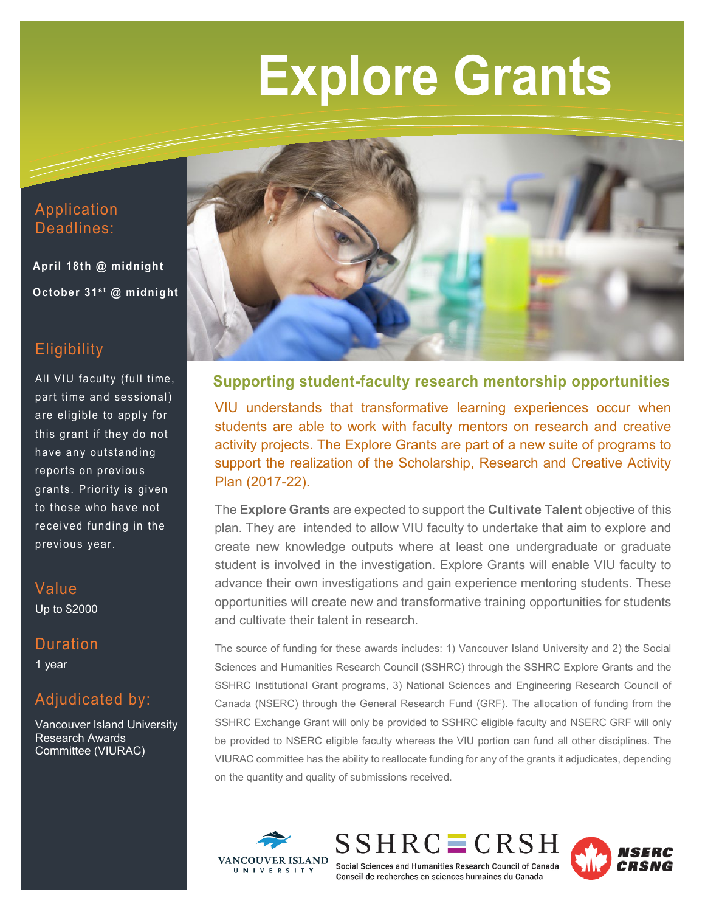# **Explore Grants**

## Application Deadlines:

 **April 18th @ midnight October 31st @ midnight** 

## **Eligibility**

All VIU faculty (full time, part time and sessional) are eligible to apply for this grant if they do not have any outstanding reports on previous grants. Priority is given to those who have not received funding in the previous year.

### Value Up to \$2000

## **Duration**

1 year

# Adjudicated by:

Vancouver Island University Research Awards Committee (VIURAC)



**Supporting student-faculty research mentorship opportunities**

VIU understands that transformative learning experiences occur when students are able to work with faculty mentors on research and creative activity projects. The Explore Grants are part of a new suite of programs to support the realization of the Scholarship, Research and Creative Activity Plan (2017-22).

The **Explore Grants** are expected to support the **Cultivate Talent** objective of this plan. They are intended to allow VIU faculty to undertake that aim to explore and create new knowledge outputs where at least one undergraduate or graduate student is involved in the investigation. Explore Grants will enable VIU faculty to advance their own investigations and gain experience mentoring students. These opportunities will create new and transformative training opportunities for students and cultivate their talent in research.

The source of funding for these awards includes: 1) Vancouver Island University and 2) the Social Sciences and Humanities Research Council (SSHRC) through the SSHRC Explore Grants and the SSHRC Institutional Grant programs, 3) National Sciences and Engineering Research Council of Canada (NSERC) through the General Research Fund (GRF). The allocation of funding from the SSHRC Exchange Grant will only be provided to SSHRC eligible faculty and NSERC GRF will only be provided to NSERC eligible faculty whereas the VIU portion can fund all other disciplines. The VIURAC committee has the ability to reallocate funding for any of the grants it adjudicates, depending on the quantity and quality of submissions received.







Social Sciences and Humanities Research Council of Canada Conseil de recherches en sciences humaines du Canada